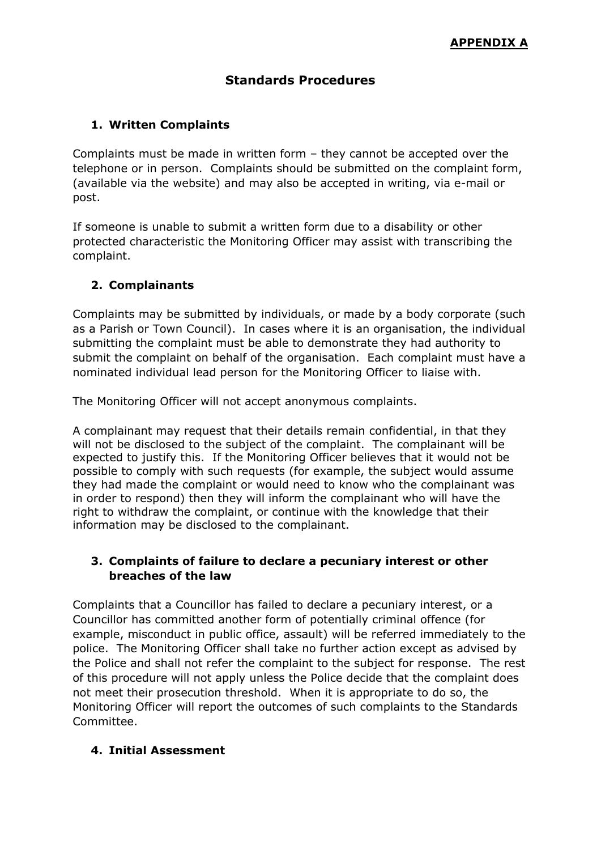# **Standards Procedures**

### **1. Written Complaints**

Complaints must be made in written form – they cannot be accepted over the telephone or in person. Complaints should be submitted on the complaint form, (available via the website) and may also be accepted in writing, via e-mail or post.

If someone is unable to submit a written form due to a disability or other protected characteristic the Monitoring Officer may assist with transcribing the complaint.

#### **2. Complainants**

Complaints may be submitted by individuals, or made by a body corporate (such as a Parish or Town Council). In cases where it is an organisation, the individual submitting the complaint must be able to demonstrate they had authority to submit the complaint on behalf of the organisation. Each complaint must have a nominated individual lead person for the Monitoring Officer to liaise with.

The Monitoring Officer will not accept anonymous complaints.

A complainant may request that their details remain confidential, in that they will not be disclosed to the subject of the complaint. The complainant will be expected to justify this. If the Monitoring Officer believes that it would not be possible to comply with such requests (for example, the subject would assume they had made the complaint or would need to know who the complainant was in order to respond) then they will inform the complainant who will have the right to withdraw the complaint, or continue with the knowledge that their information may be disclosed to the complainant.

### **3. Complaints of failure to declare a pecuniary interest or other breaches of the law**

Complaints that a Councillor has failed to declare a pecuniary interest, or a Councillor has committed another form of potentially criminal offence (for example, misconduct in public office, assault) will be referred immediately to the police. The Monitoring Officer shall take no further action except as advised by the Police and shall not refer the complaint to the subject for response. The rest of this procedure will not apply unless the Police decide that the complaint does not meet their prosecution threshold. When it is appropriate to do so, the Monitoring Officer will report the outcomes of such complaints to the Standards Committee.

### **4. Initial Assessment**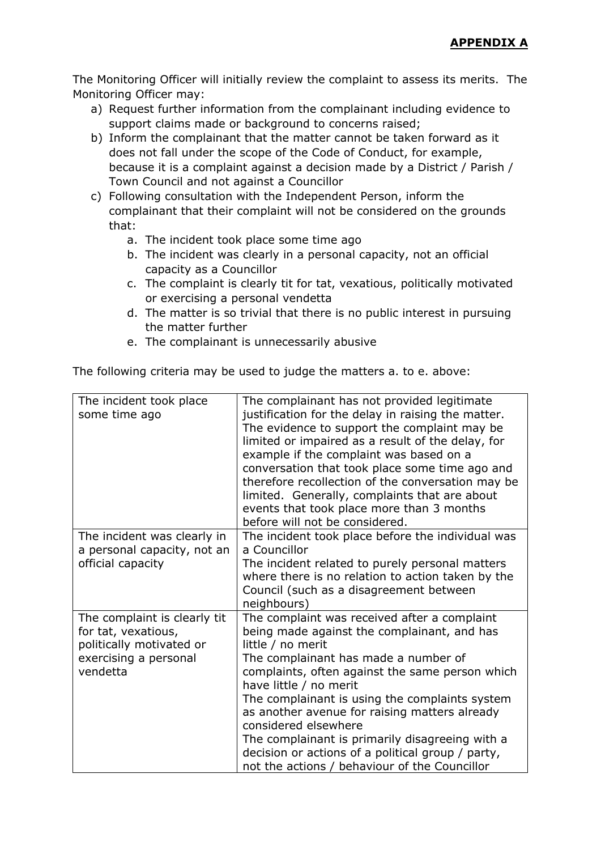The Monitoring Officer will initially review the complaint to assess its merits. The Monitoring Officer may:

- a) Request further information from the complainant including evidence to support claims made or background to concerns raised;
- b) Inform the complainant that the matter cannot be taken forward as it does not fall under the scope of the Code of Conduct, for example, because it is a complaint against a decision made by a District / Parish / Town Council and not against a Councillor
- c) Following consultation with the Independent Person, inform the complainant that their complaint will not be considered on the grounds that:
	- a. The incident took place some time ago
	- b. The incident was clearly in a personal capacity, not an official capacity as a Councillor
	- c. The complaint is clearly tit for tat, vexatious, politically motivated or exercising a personal vendetta
	- d. The matter is so trivial that there is no public interest in pursuing the matter further
	- e. The complainant is unnecessarily abusive

The following criteria may be used to judge the matters a. to e. above:

| The incident took place<br>some time ago                                                                             | The complainant has not provided legitimate<br>justification for the delay in raising the matter.<br>The evidence to support the complaint may be<br>limited or impaired as a result of the delay, for<br>example if the complaint was based on a<br>conversation that took place some time ago and<br>therefore recollection of the conversation may be<br>limited. Generally, complaints that are about<br>events that took place more than 3 months<br>before will not be considered.                                  |
|----------------------------------------------------------------------------------------------------------------------|---------------------------------------------------------------------------------------------------------------------------------------------------------------------------------------------------------------------------------------------------------------------------------------------------------------------------------------------------------------------------------------------------------------------------------------------------------------------------------------------------------------------------|
| The incident was clearly in<br>a personal capacity, not an<br>official capacity                                      | The incident took place before the individual was<br>a Councillor<br>The incident related to purely personal matters<br>where there is no relation to action taken by the<br>Council (such as a disagreement between<br>neighbours)                                                                                                                                                                                                                                                                                       |
| The complaint is clearly tit<br>for tat, vexatious,<br>politically motivated or<br>exercising a personal<br>vendetta | The complaint was received after a complaint<br>being made against the complainant, and has<br>little / no merit<br>The complainant has made a number of<br>complaints, often against the same person which<br>have little / no merit<br>The complainant is using the complaints system<br>as another avenue for raising matters already<br>considered elsewhere<br>The complainant is primarily disagreeing with a<br>decision or actions of a political group / party,<br>not the actions / behaviour of the Councillor |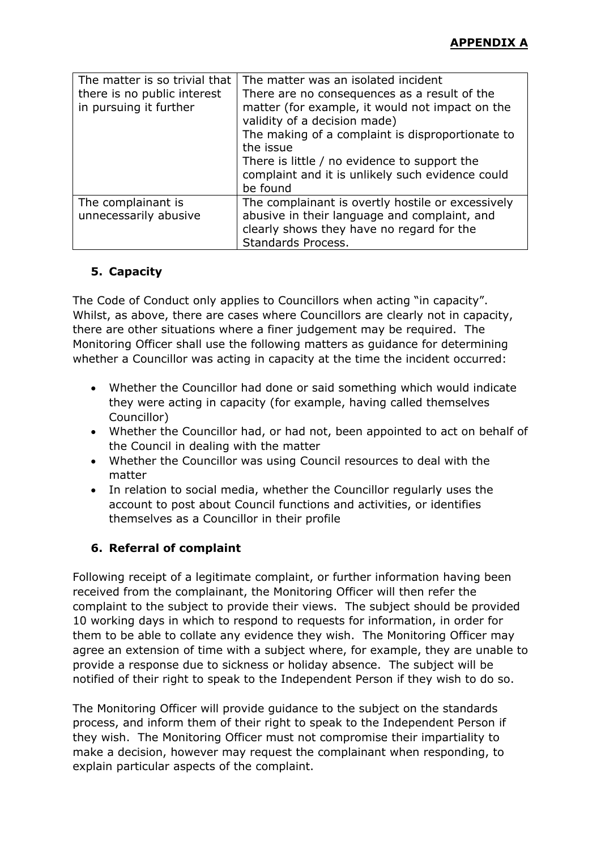| The matter is so trivial that<br>there is no public interest<br>in pursuing it further | The matter was an isolated incident<br>There are no consequences as a result of the<br>matter (for example, it would not impact on the<br>validity of a decision made)<br>The making of a complaint is disproportionate to<br>the issue<br>There is little / no evidence to support the<br>complaint and it is unlikely such evidence could<br>be found |
|----------------------------------------------------------------------------------------|---------------------------------------------------------------------------------------------------------------------------------------------------------------------------------------------------------------------------------------------------------------------------------------------------------------------------------------------------------|
| The complainant is<br>unnecessarily abusive                                            | The complainant is overtly hostile or excessively<br>abusive in their language and complaint, and<br>clearly shows they have no regard for the<br>Standards Process.                                                                                                                                                                                    |

## **5. Capacity**

The Code of Conduct only applies to Councillors when acting "in capacity". Whilst, as above, there are cases where Councillors are clearly not in capacity, there are other situations where a finer judgement may be required. The Monitoring Officer shall use the following matters as guidance for determining whether a Councillor was acting in capacity at the time the incident occurred:

- Whether the Councillor had done or said something which would indicate they were acting in capacity (for example, having called themselves Councillor)
- Whether the Councillor had, or had not, been appointed to act on behalf of the Council in dealing with the matter
- Whether the Councillor was using Council resources to deal with the matter
- In relation to social media, whether the Councillor regularly uses the account to post about Council functions and activities, or identifies themselves as a Councillor in their profile

## **6. Referral of complaint**

Following receipt of a legitimate complaint, or further information having been received from the complainant, the Monitoring Officer will then refer the complaint to the subject to provide their views. The subject should be provided 10 working days in which to respond to requests for information, in order for them to be able to collate any evidence they wish. The Monitoring Officer may agree an extension of time with a subject where, for example, they are unable to provide a response due to sickness or holiday absence. The subject will be notified of their right to speak to the Independent Person if they wish to do so.

The Monitoring Officer will provide guidance to the subject on the standards process, and inform them of their right to speak to the Independent Person if they wish. The Monitoring Officer must not compromise their impartiality to make a decision, however may request the complainant when responding, to explain particular aspects of the complaint.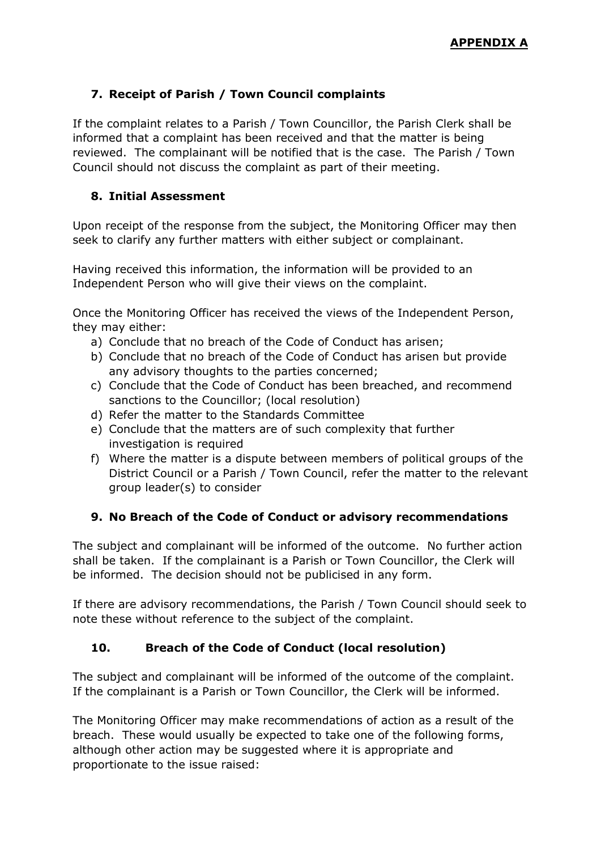## **7. Receipt of Parish / Town Council complaints**

If the complaint relates to a Parish / Town Councillor, the Parish Clerk shall be informed that a complaint has been received and that the matter is being reviewed. The complainant will be notified that is the case. The Parish / Town Council should not discuss the complaint as part of their meeting.

### **8. Initial Assessment**

Upon receipt of the response from the subject, the Monitoring Officer may then seek to clarify any further matters with either subject or complainant.

Having received this information, the information will be provided to an Independent Person who will give their views on the complaint.

Once the Monitoring Officer has received the views of the Independent Person, they may either:

- a) Conclude that no breach of the Code of Conduct has arisen;
- b) Conclude that no breach of the Code of Conduct has arisen but provide any advisory thoughts to the parties concerned;
- c) Conclude that the Code of Conduct has been breached, and recommend sanctions to the Councillor; (local resolution)
- d) Refer the matter to the Standards Committee
- e) Conclude that the matters are of such complexity that further investigation is required
- f) Where the matter is a dispute between members of political groups of the District Council or a Parish / Town Council, refer the matter to the relevant group leader(s) to consider

## **9. No Breach of the Code of Conduct or advisory recommendations**

The subject and complainant will be informed of the outcome. No further action shall be taken. If the complainant is a Parish or Town Councillor, the Clerk will be informed. The decision should not be publicised in any form.

If there are advisory recommendations, the Parish / Town Council should seek to note these without reference to the subject of the complaint.

## **10. Breach of the Code of Conduct (local resolution)**

The subject and complainant will be informed of the outcome of the complaint. If the complainant is a Parish or Town Councillor, the Clerk will be informed.

The Monitoring Officer may make recommendations of action as a result of the breach. These would usually be expected to take one of the following forms, although other action may be suggested where it is appropriate and proportionate to the issue raised: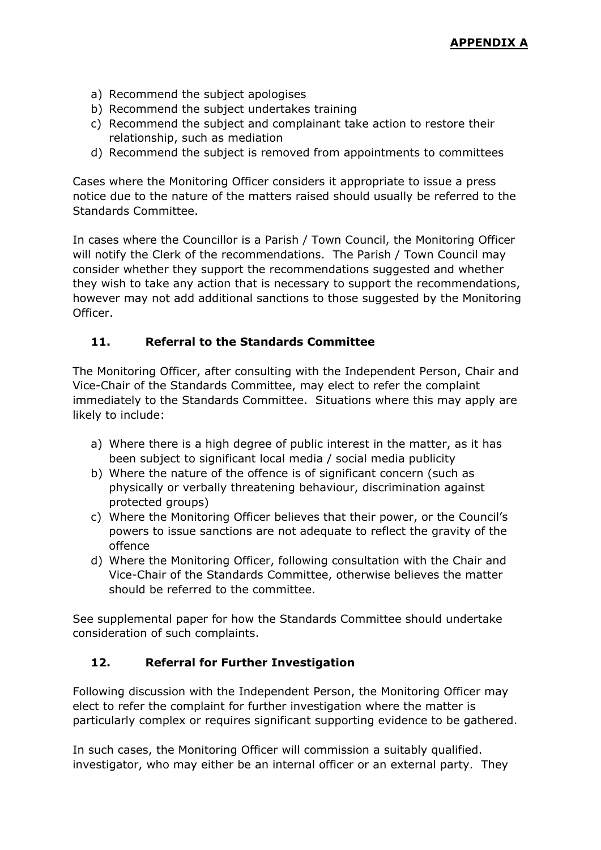- a) Recommend the subject apologises
- b) Recommend the subject undertakes training
- c) Recommend the subject and complainant take action to restore their relationship, such as mediation
- d) Recommend the subject is removed from appointments to committees

Cases where the Monitoring Officer considers it appropriate to issue a press notice due to the nature of the matters raised should usually be referred to the Standards Committee.

In cases where the Councillor is a Parish / Town Council, the Monitoring Officer will notify the Clerk of the recommendations. The Parish / Town Council may consider whether they support the recommendations suggested and whether they wish to take any action that is necessary to support the recommendations, however may not add additional sanctions to those suggested by the Monitoring Officer.

### **11. Referral to the Standards Committee**

The Monitoring Officer, after consulting with the Independent Person, Chair and Vice-Chair of the Standards Committee, may elect to refer the complaint immediately to the Standards Committee. Situations where this may apply are likely to include:

- a) Where there is a high degree of public interest in the matter, as it has been subject to significant local media / social media publicity
- b) Where the nature of the offence is of significant concern (such as physically or verbally threatening behaviour, discrimination against protected groups)
- c) Where the Monitoring Officer believes that their power, or the Council's powers to issue sanctions are not adequate to reflect the gravity of the offence
- d) Where the Monitoring Officer, following consultation with the Chair and Vice-Chair of the Standards Committee, otherwise believes the matter should be referred to the committee.

See supplemental paper for how the Standards Committee should undertake consideration of such complaints.

## **12. Referral for Further Investigation**

Following discussion with the Independent Person, the Monitoring Officer may elect to refer the complaint for further investigation where the matter is particularly complex or requires significant supporting evidence to be gathered.

In such cases, the Monitoring Officer will commission a suitably qualified. investigator, who may either be an internal officer or an external party. They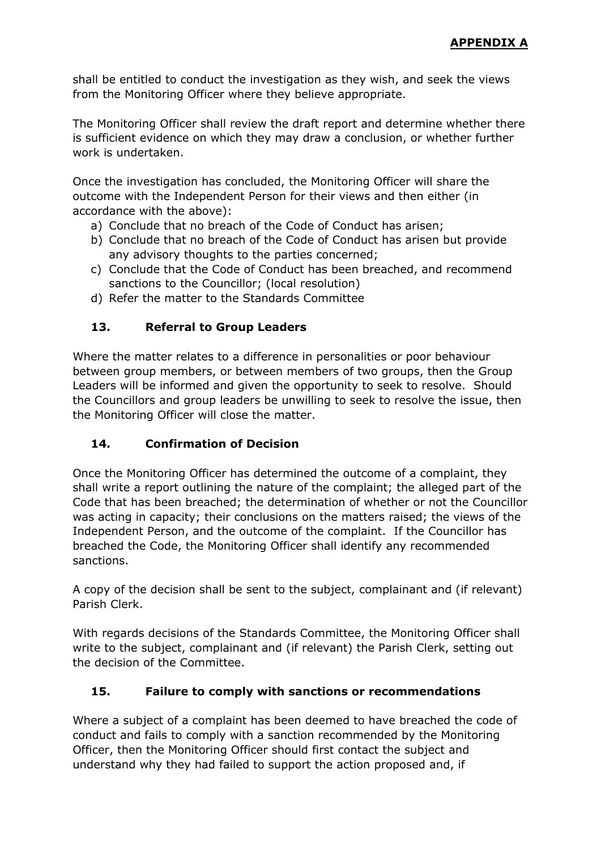shall be entitled to conduct the investigation as they wish, and seek the views from the Monitoring Officer where they believe appropriate.

The Monitoring Officer shall review the draft report and determine whether there is sufficient evidence on which they may draw a conclusion, or whether further work is undertaken.

Once the investigation has concluded, the Monitoring Officer will share the outcome with the Independent Person for their views and then either (in accordance with the above):

- a) Conclude that no breach of the Code of Conduct has arisen;
- b) Conclude that no breach of the Code of Conduct has arisen but provide any advisory thoughts to the parties concerned;
- c) Conclude that the Code of Conduct has been breached, and recommend sanctions to the Councillor; (local resolution)
- d) Refer the matter to the Standards Committee

## **13. Referral to Group Leaders**

Where the matter relates to a difference in personalities or poor behaviour between group members, or between members of two groups, then the Group Leaders will be informed and given the opportunity to seek to resolve. Should the Councillors and group leaders be unwilling to seek to resolve the issue, then the Monitoring Officer will close the matter.

## **14. Confirmation of Decision**

Once the Monitoring Officer has determined the outcome of a complaint, they shall write a report outlining the nature of the complaint; the alleged part of the Code that has been breached; the determination of whether or not the Councillor was acting in capacity; their conclusions on the matters raised; the views of the Independent Person, and the outcome of the complaint. If the Councillor has breached the Code, the Monitoring Officer shall identify any recommended sanctions.

A copy of the decision shall be sent to the subject, complainant and (if relevant) Parish Clerk.

With regards decisions of the Standards Committee, the Monitoring Officer shall write to the subject, complainant and (if relevant) the Parish Clerk, setting out the decision of the Committee.

## **15. Failure to comply with sanctions or recommendations**

Where a subject of a complaint has been deemed to have breached the code of conduct and fails to comply with a sanction recommended by the Monitoring Officer, then the Monitoring Officer should first contact the subject and understand why they had failed to support the action proposed and, if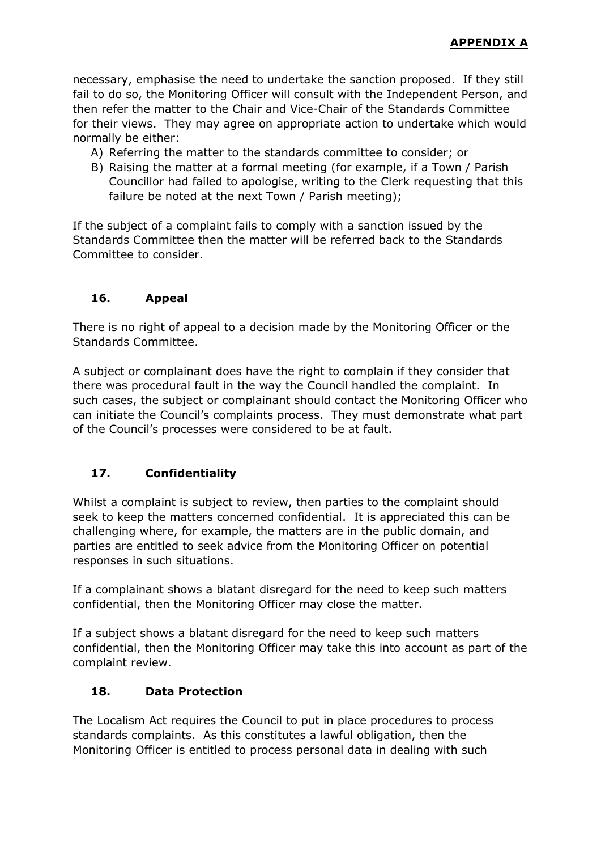necessary, emphasise the need to undertake the sanction proposed. If they still fail to do so, the Monitoring Officer will consult with the Independent Person, and then refer the matter to the Chair and Vice-Chair of the Standards Committee for their views. They may agree on appropriate action to undertake which would normally be either:

- A) Referring the matter to the standards committee to consider; or
- B) Raising the matter at a formal meeting (for example, if a Town / Parish Councillor had failed to apologise, writing to the Clerk requesting that this failure be noted at the next Town / Parish meeting);

If the subject of a complaint fails to comply with a sanction issued by the Standards Committee then the matter will be referred back to the Standards Committee to consider.

## **16. Appeal**

There is no right of appeal to a decision made by the Monitoring Officer or the Standards Committee.

A subject or complainant does have the right to complain if they consider that there was procedural fault in the way the Council handled the complaint. In such cases, the subject or complainant should contact the Monitoring Officer who can initiate the Council's complaints process. They must demonstrate what part of the Council's processes were considered to be at fault.

## **17. Confidentiality**

Whilst a complaint is subject to review, then parties to the complaint should seek to keep the matters concerned confidential. It is appreciated this can be challenging where, for example, the matters are in the public domain, and parties are entitled to seek advice from the Monitoring Officer on potential responses in such situations.

If a complainant shows a blatant disregard for the need to keep such matters confidential, then the Monitoring Officer may close the matter.

If a subject shows a blatant disregard for the need to keep such matters confidential, then the Monitoring Officer may take this into account as part of the complaint review.

## **18. Data Protection**

The Localism Act requires the Council to put in place procedures to process standards complaints. As this constitutes a lawful obligation, then the Monitoring Officer is entitled to process personal data in dealing with such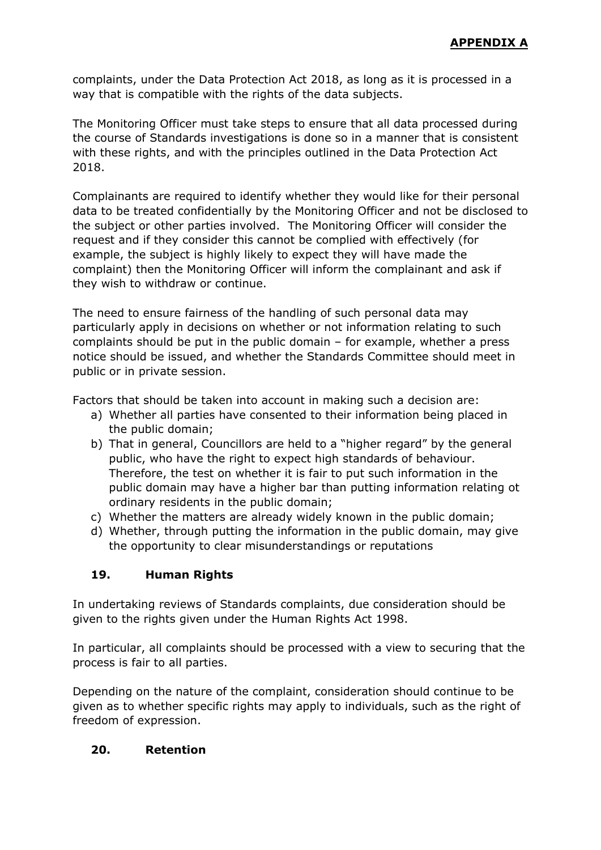complaints, under the Data Protection Act 2018, as long as it is processed in a way that is compatible with the rights of the data subjects.

The Monitoring Officer must take steps to ensure that all data processed during the course of Standards investigations is done so in a manner that is consistent with these rights, and with the principles outlined in the Data Protection Act 2018.

Complainants are required to identify whether they would like for their personal data to be treated confidentially by the Monitoring Officer and not be disclosed to the subject or other parties involved. The Monitoring Officer will consider the request and if they consider this cannot be complied with effectively (for example, the subject is highly likely to expect they will have made the complaint) then the Monitoring Officer will inform the complainant and ask if they wish to withdraw or continue.

The need to ensure fairness of the handling of such personal data may particularly apply in decisions on whether or not information relating to such complaints should be put in the public domain – for example, whether a press notice should be issued, and whether the Standards Committee should meet in public or in private session.

Factors that should be taken into account in making such a decision are:

- a) Whether all parties have consented to their information being placed in the public domain;
- b) That in general, Councillors are held to a "higher regard" by the general public, who have the right to expect high standards of behaviour. Therefore, the test on whether it is fair to put such information in the public domain may have a higher bar than putting information relating ot ordinary residents in the public domain;
- c) Whether the matters are already widely known in the public domain;
- d) Whether, through putting the information in the public domain, may give the opportunity to clear misunderstandings or reputations

## **19. Human Rights**

In undertaking reviews of Standards complaints, due consideration should be given to the rights given under the Human Rights Act 1998.

In particular, all complaints should be processed with a view to securing that the process is fair to all parties.

Depending on the nature of the complaint, consideration should continue to be given as to whether specific rights may apply to individuals, such as the right of freedom of expression.

## **20. Retention**